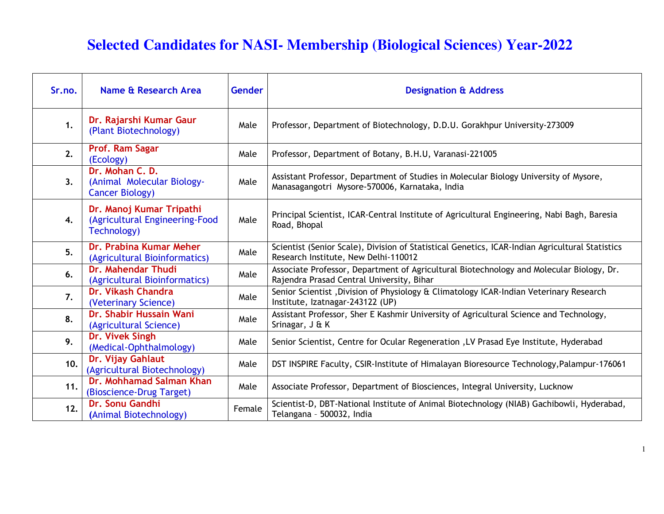## **Selected Candidates for NASI- Membership (Biological Sciences) Year-2022**

| Sr.no. | Name & Research Area                                                      | <b>Gender</b> | <b>Designation &amp; Address</b>                                                                                                        |
|--------|---------------------------------------------------------------------------|---------------|-----------------------------------------------------------------------------------------------------------------------------------------|
| 1.     | Dr. Rajarshi Kumar Gaur<br>(Plant Biotechnology)                          | Male          | Professor, Department of Biotechnology, D.D.U. Gorakhpur University-273009                                                              |
| 2.     | Prof. Ram Sagar<br>(Ecology)                                              | Male          | Professor, Department of Botany, B.H.U, Varanasi-221005                                                                                 |
| 3.     | Dr. Mohan C. D.<br>(Animal Molecular Biology-<br><b>Cancer Biology)</b>   | Male          | Assistant Professor, Department of Studies in Molecular Biology University of Mysore,<br>Manasagangotri Mysore-570006, Karnataka, India |
| 4.     | Dr. Manoj Kumar Tripathi<br>(Agricultural Engineering-Food<br>Technology) | Male          | Principal Scientist, ICAR-Central Institute of Agricultural Engineering, Nabi Bagh, Baresia<br>Road, Bhopal                             |
| 5.     | Dr. Prabina Kumar Meher<br>(Agricultural Bioinformatics)                  | Male          | Scientist (Senior Scale), Division of Statistical Genetics, ICAR-Indian Agricultural Statistics<br>Research Institute, New Delhi-110012 |
| 6.     | <b>Dr. Mahendar Thudi</b><br>(Agricultural Bioinformatics)                | Male          | Associate Professor, Department of Agricultural Biotechnology and Molecular Biology, Dr.<br>Rajendra Prasad Central University, Bihar   |
| 7.     | Dr. Vikash Chandra<br>(Veterinary Science)                                | Male          | Senior Scientist, Division of Physiology & Climatology ICAR-Indian Veterinary Research<br>Institute, Izatnagar-243122 (UP)              |
| 8.     | Dr. Shabir Hussain Wani<br>(Agricultural Science)                         | Male          | Assistant Professor, Sher E Kashmir University of Agricultural Science and Technology,<br>Srinagar, J & K                               |
| 9.     | Dr. Vivek Singh<br>(Medical-Ophthalmology)                                | Male          | Senior Scientist, Centre for Ocular Regeneration , LV Prasad Eye Institute, Hyderabad                                                   |
| 10.    | Dr. Vijay Gahlaut<br>(Agricultural Biotechnology)                         | Male          | DST INSPIRE Faculty, CSIR-Institute of Himalayan Bioresource Technology, Palampur-176061                                                |
| 11.    | Dr. Mohhamad Salman Khan<br>(Bioscience-Drug Target)                      | Male          | Associate Professor, Department of Biosciences, Integral University, Lucknow                                                            |
| 12.    | Dr. Sonu Gandhi<br>(Animal Biotechnology)                                 | Female        | Scientist-D, DBT-National Institute of Animal Biotechnology (NIAB) Gachibowli, Hyderabad,<br>Telangana - 500032, India                  |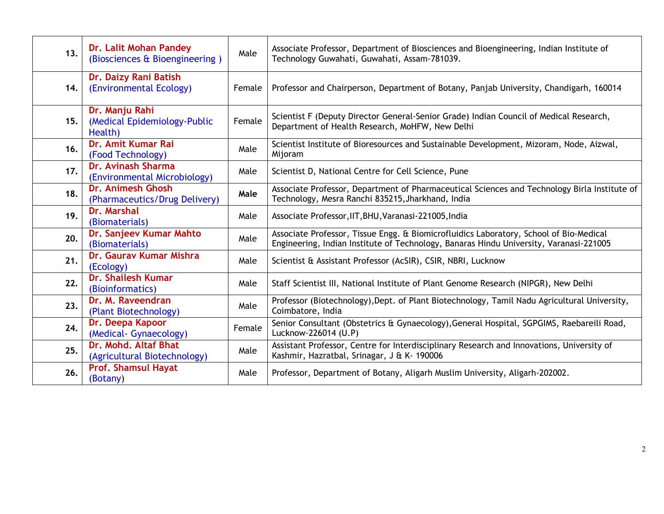| 13. | Dr. Lalit Mohan Pandey<br>(Biosciences & Bioengineering)  | Male   | Associate Professor, Department of Biosciences and Bioengineering, Indian Institute of<br>Technology Guwahati, Guwahati, Assam-781039.                                           |
|-----|-----------------------------------------------------------|--------|----------------------------------------------------------------------------------------------------------------------------------------------------------------------------------|
| 14. | Dr. Daizy Rani Batish<br>(Environmental Ecology)          | Female | Professor and Chairperson, Department of Botany, Panjab University, Chandigarh, 160014                                                                                           |
| 15. | Dr. Manju Rahi<br>(Medical Epidemiology-Public<br>Health) | Female | Scientist F (Deputy Director General-Senior Grade) Indian Council of Medical Research,<br>Department of Health Research, MoHFW, New Delhi                                        |
| 16. | Dr. Amit Kumar Rai<br>(Food Technology)                   | Male   | Scientist Institute of Bioresources and Sustainable Development, Mizoram, Node, Aizwal,<br>Mijoram                                                                               |
| 17. | Dr. Avinash Sharma<br>(Environmental Microbiology)        | Male   | Scientist D, National Centre for Cell Science, Pune                                                                                                                              |
| 18. | Dr. Animesh Ghosh<br>(Pharmaceutics/Drug Delivery)        | Male   | Associate Professor, Department of Pharmaceutical Sciences and Technology Birla Institute of<br>Technology, Mesra Ranchi 835215, Jharkhand, India                                |
| 19. | Dr. Marshal<br>(Biomaterials)                             | Male   | Associate Professor, IIT, BHU, Varanasi-221005, India                                                                                                                            |
| 20. | Dr. Sanjeev Kumar Mahto<br>(Biomaterials)                 | Male   | Associate Professor, Tissue Engg. & Biomicrofluidics Laboratory, School of Bio-Medical<br>Engineering, Indian Institute of Technology, Banaras Hindu University, Varanasi-221005 |
| 21. | Dr. Gaurav Kumar Mishra<br>(Ecology)                      | Male   | Scientist & Assistant Professor (AcSIR), CSIR, NBRI, Lucknow                                                                                                                     |
| 22. | <b>Dr. Shailesh Kumar</b><br>(Bioinformatics)             | Male   | Staff Scientist III, National Institute of Plant Genome Research (NIPGR), New Delhi                                                                                              |
| 23. | Dr. M. Raveendran<br>(Plant Biotechnology)                | Male   | Professor (Biotechnology), Dept. of Plant Biotechnology, Tamil Nadu Agricultural University,<br>Coimbatore, India                                                                |
| 24. | Dr. Deepa Kapoor<br>(Medical- Gynaecology)                | Female | Senior Consultant (Obstetrics & Gynaecology), General Hospital, SGPGIMS, Raebareili Road,<br>Lucknow-226014 (U.P)                                                                |
| 25. | Dr. Mohd. Altaf Bhat<br>(Agricultural Biotechnology)      | Male   | Assistant Professor, Centre for Interdisciplinary Research and Innovations, University of<br>Kashmir, Hazratbal, Srinagar, J & K- 190006                                         |
| 26. | <b>Prof. Shamsul Hayat</b><br>(Botany)                    | Male   | Professor, Department of Botany, Aligarh Muslim University, Aligarh-202002.                                                                                                      |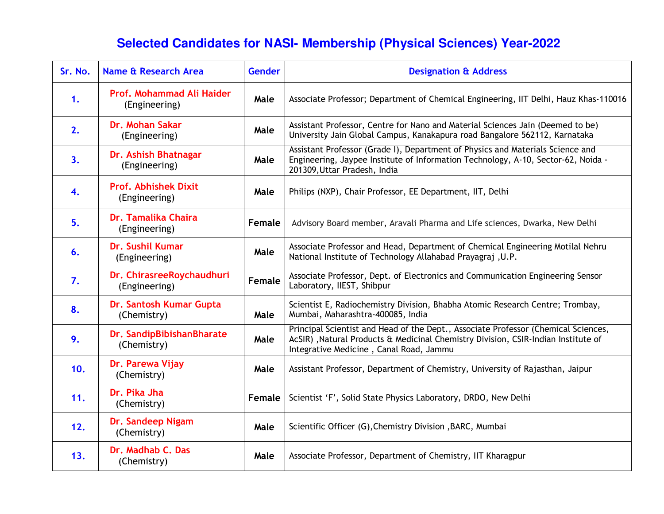## **Selected Candidates for NASI- Membership (Physical Sciences) Year-2022**

| Sr. No. | <b>Name &amp; Research Area</b>              | Gender | <b>Designation &amp; Address</b>                                                                                                                                                                                    |
|---------|----------------------------------------------|--------|---------------------------------------------------------------------------------------------------------------------------------------------------------------------------------------------------------------------|
| 1.      | Prof. Mohammad Ali Haider<br>(Engineering)   | Male   | Associate Professor; Department of Chemical Engineering, IIT Delhi, Hauz Khas-110016                                                                                                                                |
| 2.      | Dr. Mohan Sakar<br>(Engineering)             | Male   | Assistant Professor, Centre for Nano and Material Sciences Jain (Deemed to be)<br>University Jain Global Campus, Kanakapura road Bangalore 562112, Karnataka                                                        |
| 3.      | Dr. Ashish Bhatnagar<br>(Engineering)        | Male   | Assistant Professor (Grade I), Department of Physics and Materials Science and<br>Engineering, Jaypee Institute of Information Technology, A-10, Sector-62, Noida -<br>201309, Uttar Pradesh, India                 |
| 4.      | <b>Prof. Abhishek Dixit</b><br>(Engineering) | Male   | Philips (NXP), Chair Professor, EE Department, IIT, Delhi                                                                                                                                                           |
| 5.      | Dr. Tamalika Chaira<br>(Engineering)         | Female | Advisory Board member, Aravali Pharma and Life sciences, Dwarka, New Delhi                                                                                                                                          |
| 6.      | Dr. Sushil Kumar<br>(Engineering)            | Male   | Associate Professor and Head, Department of Chemical Engineering Motilal Nehru<br>National Institute of Technology Allahabad Prayagraj, U.P.                                                                        |
| 7.      | Dr. ChirasreeRoychaudhuri<br>(Engineering)   | Female | Associate Professor, Dept. of Electronics and Communication Engineering Sensor<br>Laboratory, IIEST, Shibpur                                                                                                        |
| 8.      | Dr. Santosh Kumar Gupta<br>(Chemistry)       | Male   | Scientist E, Radiochemistry Division, Bhabha Atomic Research Centre; Trombay,<br>Mumbai, Maharashtra-400085, India                                                                                                  |
| 9.      | Dr. SandipBibishanBharate<br>(Chemistry)     | Male   | Principal Scientist and Head of the Dept., Associate Professor (Chemical Sciences,<br>AcSIR) , Natural Products & Medicinal Chemistry Division, CSIR-Indian Institute of<br>Integrative Medicine, Canal Road, Jammu |
| 10.     | Dr. Parewa Vijay<br>(Chemistry)              | Male   | Assistant Professor, Department of Chemistry, University of Rajasthan, Jaipur                                                                                                                                       |
| 11.     | Dr. Pika Jha<br>(Chemistry)                  | Female | Scientist 'F', Solid State Physics Laboratory, DRDO, New Delhi                                                                                                                                                      |
| 12.     | Dr. Sandeep Nigam<br>(Chemistry)             | Male   | Scientific Officer (G), Chemistry Division, BARC, Mumbai                                                                                                                                                            |
| 13.     | Dr. Madhab C. Das<br>(Chemistry)             | Male   | Associate Professor, Department of Chemistry, IIT Kharagpur                                                                                                                                                         |